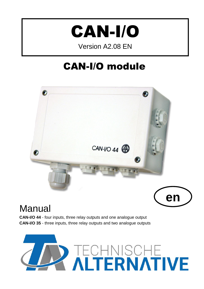

Version A2.08 EN

# CAN-I/O module





# **Manual**

**CAN-I/O 44** - four inputs, three relay outputs and one analogue output **CAN-I/O 35** - three inputs, three relay outputs and two analogue outputs

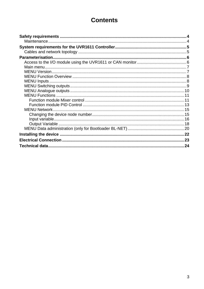# **Contents**

| <b>MENU Network.</b> |  |
|----------------------|--|
|                      |  |
|                      |  |
|                      |  |
|                      |  |
|                      |  |
|                      |  |
|                      |  |
|                      |  |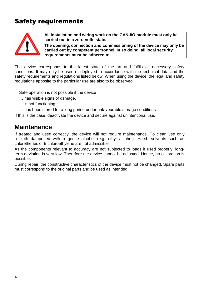# <span id="page-3-0"></span>Safety requirements



**All installation and wiring work on the CAN-I/O module must only be carried out in a zero-volts state.**

**The opening, connection and commissioning of the device may only be carried out by competent personnel. In so doing, all local security requirements must be adhered to.**

The device corresponds to the latest state of the art and fulfils all necessary safety conditions. It may only be used or deployed in accordance with the technical data and the safety requirements and regulations listed below. When using the device, the legal and safety regulations apposite to the particular use are also to be observed.

Safe operation is not possible if the device

….has visible signs of damage,

….is not functioning,

….has been stored for a long period under unfavourable storage conditions.

If this is the case, deactivate the device and secure against unintentional use.

## <span id="page-3-1"></span>**Maintenance**

If treated and used correctly, the device will not require maintenance. To clean use only a cloth dampened with a gentle alcohol (e.g. ethyl alcohol). Harsh solvents such as chlorethenes or trichloroethylene are not admissible.

As the components relevant to accuracy are not subjected to loads if used properly, longterm deviation is very low. Therefore the device cannot be adjusted. Hence, no calibration is possible.

During repair, the constructive characteristics of the device must not be changed. Spare parts must correspond to the original parts and be used as intended.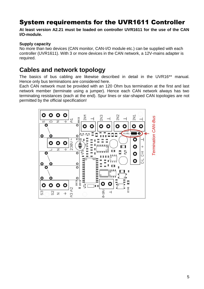# <span id="page-4-0"></span>System requirements for the UVR1611 Controller

**At least version A2.21 must be loaded on controller UVR1611 for the use of the CAN I/O-module.**

#### **Supply capacity**

No more than two devices (CAN monitor, CAN-I/O module etc.) can be supplied with each controller (UVR1611). With 3 or more devices in the CAN network, a 12V-mains adapter is required.

## <span id="page-4-1"></span>**Cables and network topology**

The basics of bus cabling are likewise described in detail in the UVR16\*\* manual. Hence only bus terminations are considered here.

Each CAN network must be provided with an 120 Ohm bus termination at the first and last network member (terminate using a jumper). Hence each CAN network always has two terminating resistances (each at the end). Spur lines or star-shaped CAN topologies are not permitted by the official specification!

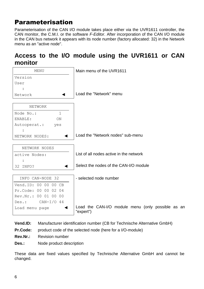# <span id="page-5-0"></span>Parameterisation

Parameterisation of the CAN I/O module takes place either via the UVR1611 controller, the CAN monitor, the C.M.I. or the software *F-Editor*. After incorporation of the CAN I/O module in the CAN bus network it appears with its node number (factory allocated: 32) in the Network menu as an "active node".

## <span id="page-5-1"></span>**Access to the I/O module using the UVR1611 or CAN monitor**



- **Vend.ID:** Manufacturer identification number (CB for Technische Alternative GmbH)
- **Pr.Code:** product code of the selected node (here for a I/O-module)
- **Rev.Nr.:** Revision number
- **Des.:** Node product description

These data are fixed values specified by Technische Alternative GmbH and cannot be changed.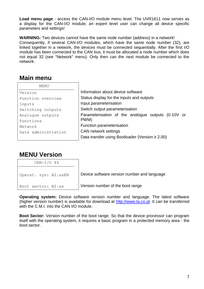**Load menu page** - access the CAN-I/O module menu level. The UVR1611 now serves as a display for the CAN-I/O module; an expert level user can change all device specific parameters and settings!

**WARNING:** Two devices cannot have the same node number (address) in a network! Consequently, if several CAN-I/O modules, which have the same node number (32), are linked together in a network, the devices must be connected sequentially. After the first I/O module has been connected to the CAN bus, it must be allocated a node number which does not equal 32 (see "Network" menu). Only then can the next module be connected to the network.

## <span id="page-6-0"></span>**Main menu**

| MENU                |                                                       |
|---------------------|-------------------------------------------------------|
| Version             | Information about device software                     |
| Function overview   | Status display for the inputs and outputs             |
| Inputs              | Input parameterisation                                |
| Switching outputs   | Switch output parameterisation                        |
| Analogue outputs    | Parameterisation of the analogue outputs (0-10V or    |
| Functions           | PWM)                                                  |
| Network             | Function parameterisation                             |
| Data administration | <b>CAN network settings</b>                           |
|                     | Data transfer using Bootloader (Version $\geq 2.00$ ) |

# <span id="page-6-1"></span>**MENU Version**

| $CAN-I/O$ 44          |                                             |
|-----------------------|---------------------------------------------|
| Operat. sys: A2. XXEN | Device software version number and language |
| Boot sector: B2.xx    | Version number of the boot range            |

**Operating system:** Device software version number and language. The latest software (higher version number) is available for download at [http://www.ta.co.at.](http://www.ta.co.at/) It can be transferred with the C.M.I. into the CAN I/O module.

**Boot Sector:** Version number of the boot range. So that the device processor can program itself with the operating system, it requires a basic program in a protected memory area - the boot sector.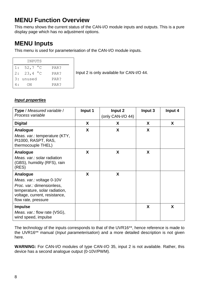# <span id="page-7-0"></span>**MENU Function Overview**

This menu shows the current status of the CAN-I/O module inputs and outputs. This is a pure display page which has no adjustment options.

# <span id="page-7-1"></span>**MENU Inputs**

This menu is used for parameterisation of the CAN-I/O module inputs.

|    | INPUTS            |      |
|----|-------------------|------|
| 1: | 52,7 $^{\circ}$ C | PAR? |
| 2: | 23,4 $^{\circ}$ C | PAR? |
|    | 3: unused         | PAR? |
|    | ON                | PAR? |

Input 2 is only available for CAN-I/O 44.

### *Input properties*

| <b>Type</b> / Measured variable /<br>Process variable                                                                                                        | Input 1 | Input 2<br>(only CAN-I/O 44) | Input 3 | Input 4 |
|--------------------------------------------------------------------------------------------------------------------------------------------------------------|---------|------------------------------|---------|---------|
| <b>Digital</b>                                                                                                                                               | X       | X                            | X       | X       |
| Analogue<br>Meas. var.: temperature (KTY,<br>Pt1000, RASPT, RAS,<br>thermocouple THEL)                                                                       | X       | X                            | X       |         |
| Analogue<br>Meas. var.: solar radiation<br>(GBS), humidity (RFS), rain<br>(RES)                                                                              | X       | X                            | X       |         |
| Analogue<br>Meas. var.: voltage 0-10V<br>Proc. var.: dimensionless,<br>temperature, solar radiation,<br>voltage, current, resistance,<br>flow rate, pressure | X       | X                            |         |         |
| <b>Impulse</b><br>Meas. var.: flow rate (VSG),<br>wind speed, impulse                                                                                        |         |                              | X       | X       |

The technology of the inputs corresponds to that of the UVR16\*\*, hence reference is made to the UVR16\*\* manual (*Input parameterisation*) and a more detailed description is not given here.

**WARNING:** For CAN-I/O modules of type CAN-I/O 35, input 2 is not available. Rather, this device has a second analogue output (0-10V/PWM).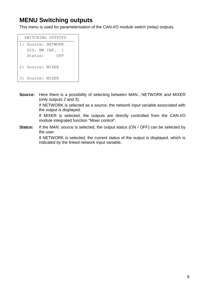# <span id="page-8-0"></span>**MENU Switching outputs**

This menu is used for parameterisation of the CAN-I/O module switch (relay) outputs.

| SWITCHING OUTPUTS |         |                    |  |
|-------------------|---------|--------------------|--|
|                   |         | 1: Source: NETWORK |  |
|                   |         | DIG. NW INP. 1     |  |
|                   | Status: | OFF                |  |
|                   |         | 2: Source: MIXER   |  |
|                   |         | 3: Source: MIXER   |  |

**Source:** Here there is a possibility of selecting between MAN., NETWORK and MIXER (only outputs 2 and 3).

> If NETWORK is selected as a source, the network input variable associated with the output is displayed.

> If MIXER is selected, the outputs are directly controlled from the CAN-I/O module integrated function "Mixer control".

**Status:** If the MAN. source is selected, the output status (ON / OFF) can be selected by the user.

> If NETWORK is selected, the current status of the output is displayed, which is indicated by the linked network input variable.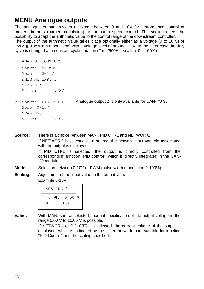# <span id="page-9-0"></span>**MENU Analogue outputs**

The analogue output provides a voltage between 0 and 10V for performance control of modern burners (burner modulation) or for pump speed control. The scaling offers the possibility to adapt the arithmetic value to the control range of the downstream controller. The output of the arithmetic value takes place optionally either as a voltage (0 to 10 V) or PWM (pulse width modulation) with a voltage level of around 12 V. In the latter case the duty cycle is changed at a constant cycle duration (2 ms/500Hz, scaling: 0 – 100%).

| ANALOGUE OUTPUTS     |       |                                                    |
|----------------------|-------|----------------------------------------------------|
| 1: Source: NETWORK   |       |                                                    |
| Mode: $0-10V$        |       |                                                    |
| ANLG.NW INP. 1       |       |                                                    |
| SCALING:             |       |                                                    |
| Value:               | 4.72V |                                                    |
| 2: Source: PID CTRL1 |       | Analogue output 2 is only available for CAN-I/O 35 |
| Mode: $0-10V$        |       |                                                    |
| SCALING:             |       |                                                    |
| Value:               | 7.40V |                                                    |

**Source:** There is a choice between MAN., PID CTRL and NETWORK. If NETWORK is selected as a source, the network input variable associated with the output is displayed. If PID CTRL is selected, the output is directly controlled from the

corresponding function "PID control", which is directly integrated in the CAN-I/O module.

- **Mode:** Selection between 0-10V or PWM (pulse width modulation 0-100%)
- **Scaling:** Adjustment of the input value to the output value Example 0-10V:

```
 SCALING 1
    0 \blacktriangleleft: 0,00 V
1000 : 10,00 V
```
**Value:** With MAN. source selected, manual specification of the output voltage in the range 0.00 V to 10.00 V is possible.

> If NETWORK or PID CTRL is selected, the current voltage of the output is displayed, which is indicated by the linked network input variable for function "PID-Control" and the scaling specified.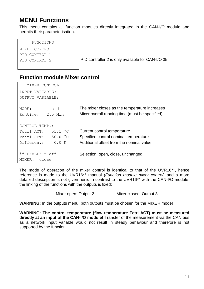# <span id="page-10-0"></span>**MENU Functions**

This menu contains all function modules directly integrated in the CAN-I/O module and permits their parameterisation.

#### FUNCTIONS

```
MIXER CONTROL
PID CONTROL 1
```
PID CONTROL 2 **PID controller 2 is only available for CAN-I/O 35** 

## <span id="page-10-1"></span>**Function module Mixer control**

| MIXER CONTROL                                                                       |                                                                                                 |
|-------------------------------------------------------------------------------------|-------------------------------------------------------------------------------------------------|
| INPUT VARIABLE:                                                                     |                                                                                                 |
| OUTPUT VARIABLE:                                                                    |                                                                                                 |
| std<br>MODE:<br>Runtime: 2.5 Min                                                    | The mixer closes as the temperature increases<br>Mixer overall running time (must be specified) |
| CONTROL TEMP.:<br>$51.1 \text{ °C}$<br>TCtrl ACT:<br>$50.0 \degree C$<br>Totrl SET: | Current control temperature<br>Specified control nominal temperature                            |
| Differen.:<br>0.0 K                                                                 | Additional offset from the nominal value                                                        |
| if $ENABLE = off$<br>close<br>MIXER:                                                | Selection: open, close, unchanged                                                               |

The mode of operation of the mixer control is identical to that of the UVR16\*\*, hence reference is made to the UVR16\*\* manual (*Function module mixer control*) and a more detailed description is not given here. In contrast to the UVR16\*\* with the CAN-I/O module, the linking of the functions with the outputs is fixed:

Mixer open: Output 2 Mixer closed: Output 3

**WARNING:** In the outputs menu, both outputs must be chosen for the MIXER mode!

**WARNING: The control temperature (flow temperature Tctrl ACT) must be measured directly at an input of the CAN-I/O module!** Transfer of the measurement via the CAN bus as a network input variable would not result in steady behaviour and therefore is not supported by the function.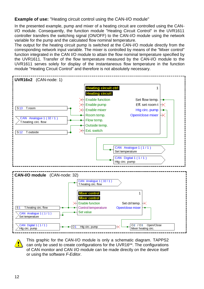**Example of use:** "Heating circuit control using the CAN-I/O module"

In the presented example, pump and mixer of a heating circuit are controlled using the CAN-I/O module. Consequently, the function module "Heating Circuit Control" in the UVR1611 controller transfers the switching signal (ON/OFF) to the CAN-I/O module using the network variable for the pump and the calculated flow nominal temperature.

The output for the heating circuit pump is switched at the CAN-I/O module directly from the corresponding network input variable. The mixer is controlled by means of the "Mixer control" function integrated in the CAN I/O module to attain the flow nominal temperature specified by the UVR1611. Transfer of the flow temperature measured by the CAN-I/O module to the UVR1611 serves solely for display of the instantaneous flow temperature in the function module "Heating Circuit Control" and therefore is not absolutely necessary.



This graphic for the CAN-I/O module is only a schematic diagram. TAPPS2 can only be used to create configurations for the UVR16\*\*. The configurations of CAN monitor and CAN I/O module can be made directly on the device itself or using the software *F-Editor*.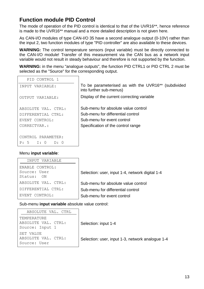## <span id="page-12-0"></span>**Function module PID Control**

The mode of operation of the PID control is identical to that of the UVR16\*\*, hence reference is made to the UVR16\*\* manual and a more detailed description is not given here.

As CAN-I/O modules of type CAN-I/O 35 have a second analogue output (0-10V) rather than the input 2, two function modules of type "PID controller" are also available to these devices.

**WARNING:** The control temperature sensors (input variable) must be directly connected to the CAN-I/O module! Transfer of this measurement via the CAN bus as a network input variable would not result in steady behaviour and therefore is not supported by the function.

WARNING: in the menu "analogue outputs", the function PID CTRL1 or PID CTRL 2 must be selected as the "Source" for the corresponding output.

 $\overline{\phantom{a}}$ 

| To be parameterised as with the UVR16 <sup>**</sup> (subdivided<br>into further sub-menus) |
|--------------------------------------------------------------------------------------------|
| Display of the current correcting variable                                                 |
| Sub-menu for absolute value control                                                        |
| Sub-menu for differential control                                                          |
| Sub-menu for event control                                                                 |
| Specification of the control range                                                         |
|                                                                                            |
|                                                                                            |
|                                                                                            |
|                                                                                            |

#### Menu **input variable**:

| INPUT VARIABLE                                |                                                 |
|-----------------------------------------------|-------------------------------------------------|
| ENABLE CONTROL:<br>Source: User<br>Status: ON | Selection: user, input 1-4, network digital 1-4 |
| ABSOLUTE VAL. CTRL:                           | Sub-menu for absolute value control             |
| DIFFERENTIAL CTRL:                            | Sub-menu for differential control               |
| EVENT CONTROL:                                | Sub-menu for event control                      |

Sub-menu **input variable** absolute value control:

| ABSOLUTE VAL. CTRL                               |                                                  |
|--------------------------------------------------|--------------------------------------------------|
| TEMPERATURE                                      |                                                  |
| ABSOLUTE VAL. CTRL:<br>Source: Input 1           | Selection: input 1-4                             |
| SET VALUE<br>ABSOLUTE VAL. CTRL:<br>Source: User | Selection: user, input 1-3, network analogue 1-4 |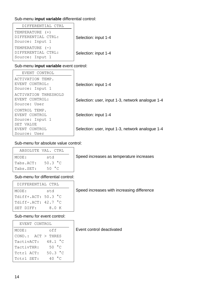### Sub-menu **input variable** differential control:

| DIFFERENTIAL CTRL                                          |                      |
|------------------------------------------------------------|----------------------|
| TEMPERATURE (+)<br>DIFFERENTIAL CTRL:<br>Source: Input 1   | Selection: input 1-4 |
| $TEMPERATURE$ (-)<br>DIFFERENTIAL CTRL:<br>Source: Input 1 | Selection: input 1-4 |

#### Sub-menu **input variable** event control:

| EVENT CONTROL                                          |                                                  |
|--------------------------------------------------------|--------------------------------------------------|
| ACTIVATION TEMP.<br>EVENT CONTROL:<br>Source: Input 1  | Selection: input 1-4                             |
| ACTIVATION THRESHOLD<br>EVENT CONTROL:<br>Source: User | Selection: user, input 1-3, network analogue 1-4 |
| CONTROL TEMP.<br>EVENT CONTROL<br>Source: Input 1      | Selection: input 1-4                             |
| SET VALUE<br>EVENT CONTROL<br>Source: User             | Selection: user, input 1-3, network analogue 1-4 |

#### Sub-menu for absolute value control:

|           | ABSOLUTE VAL. CTRL |
|-----------|--------------------|
| MODE:     | std                |
| Tabs.ACT: | $50.3 \degree C$   |
| Tabs.SET: | 50 $^{\circ}$ C    |

Speed increases as temperature increases

### Sub-menu for differential control:

| DIFFERENTIAL CTRL     |      |
|-----------------------|------|
| MODE:                 | std  |
| Tdiff+.ACT: 50.3 °C   |      |
| Tdiff-.ACT: $42.7 °C$ |      |
| SET DIFF:             | 8.OK |

Speed increases with increasing difference

#### Sub-menu for event control:

| EVENT CONTROL |                        |  |
|---------------|------------------------|--|
| MODE:         | off                    |  |
|               | $COND.:$ $ACT > THRES$ |  |
| TactivACT:    | 48.1 °C                |  |
| TactivTHR:    | 50 °C                  |  |
| Tctrl ACT:    | 50.3 °C                |  |
| TCtrl SET:    | 40 $^{\circ}$ C        |  |

Event control deactivated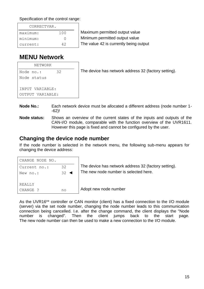Specification of the control range:

| CORRECTVAR. |     |  |
|-------------|-----|--|
| maximum:    | 100 |  |
| minimum:    |     |  |
| current:    | 42  |  |

Maximum permitted output value Minimum permitted output value The value 42 is currently being output

# <span id="page-14-0"></span>**MENU Network**

| NETWORK          |    |                                                      |
|------------------|----|------------------------------------------------------|
| Node no.:        | 32 | The device has network address 32 (factory setting). |
| Node status      |    |                                                      |
|                  |    |                                                      |
| INPUT VARIABLE:  |    |                                                      |
| OUTPUT VARIABLE: |    |                                                      |
|                  |    |                                                      |

- **Node No.:** Each network device must be allocated a different address (node number 1- -62)!
- **Node status:** Shows an overview of the current states of the inputs and outputs of the CAN-I/O module, comparable with the function overview of the UVR1611. However this page is fixed and cannot be configured by the user.

## <span id="page-14-1"></span>**Changing the device node number**

If the node number is selected in the network menu, the following sub-menu appears for changing the device address:

| CHANGE NODE NO. |                    |     |
|-----------------|--------------------|-----|
| Current no.:    | 32                 | The |
| New no.:        | $32 \triangleleft$ | The |
|                 |                    |     |
| <b>REALLY</b>   |                    |     |
| CHANGE ?        |                    | Ado |

device has network address 32 (factory setting). new node number is selected here.

pt new node number

As the UVR16\*\* controller or CAN monitor (client) has a fixed connection to the I/O module (server) via the set node number, changing the node number leads to this communication connection being cancelled. I.e. after the change command, the client displays the "Node number is changed". Then the client jumps back to the start page. The new node number can then be used to make a new connection to the I/O module.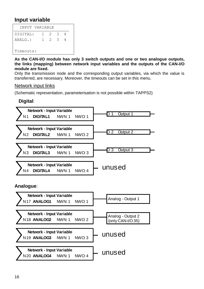## <span id="page-15-0"></span>**Input variable**

|           | INPUT VARIABLE |     |  |
|-----------|----------------|-----|--|
| DIGITAL:  | $1 \t2 \t3$    |     |  |
| ANALG.:   | 1.             | 2 3 |  |
| Timeouts: |                |     |  |

**As the CAN-I/O module has only 3 switch outputs and one or two analogue outputs, the links (mapping) between network input variables and the outputs of the CAN-I/O module are fixed.**

Only the transmission node and the corresponding output variables, via which the value is transferred, are necessary. Moreover, the timeouts can be set in this menu.

#### Network input links

(Schematic representation, parameterisation is not possible within TAPPS2)

## **Digital**:

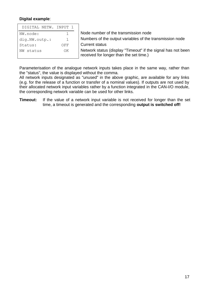#### **Digital example**:

| DIGITAL NETW. INPUT 1 |              |                                                                                                         |
|-----------------------|--------------|---------------------------------------------------------------------------------------------------------|
| NW.node:              |              | Node number of the transmission node                                                                    |
| dig.NW.outp.:         | $\mathbf{1}$ | Numbers of the output variables of the transmission node                                                |
| Status:               | OFF          | <b>Current status</b>                                                                                   |
| status<br>NW          | ΟK           | Network status (display "Timeout" if the signal has not been<br>received for longer than the set time.) |

Parameterisation of the analogue network inputs takes place in the same way, rather than the "status", the value is displayed without the comma.

All network inputs designated as "unused" in the above graphic, are available for any links (e.g. for the release of a function or transfer of a nominal values). If outputs are not used by their allocated network input variables rather by a function integrated in the CAN-I/O module, the corresponding network variable can be used for other links.

**Timeout:** If the value of a network input variable is not received for longer than the set time, a timeout is generated and the corresponding **output is switched off!**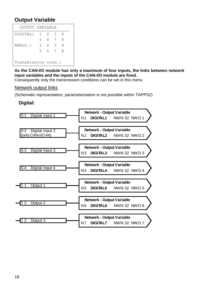## <span id="page-17-0"></span>**Output Variable**

| OUTPUT VARIABLE     |              |    |     |   |  |
|---------------------|--------------|----|-----|---|--|
| DIGITAL:            | $\mathbb{1}$ | 2. | 3   | 4 |  |
|                     | 5.           |    | 6 7 | 8 |  |
| ANALG.:             | 1.           | 2. | - 3 | 4 |  |
|                     | 5            |    | 6 7 | 8 |  |
|                     |              |    |     |   |  |
| Transmission cond.: |              |    |     |   |  |

**As the CAN-I/O module has only a maximum of four inputs, the links between network input variables and the inputs of the CAN-I/O module are fixed.**

Consequently only the transmission conditions can be set in this menu.

### Network output links

(Schematic representation, parameterisation is not possible within TAPPS2)

### **Digital:**

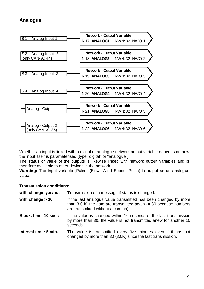## **Analogue:**



Whether an input is linked with a digital or analogue network output variable depends on how the input itself is parameterised (type "digital" or "analogue").

The status or value of the outputs is likewise linked with network output variables and is therefore available to other devices in the network.

**Warning:** The input variable "Pulse" (Flow, Wind Speed, Pulse) is output as an analogue value.

#### **Transmission conditions:**

| with change yes/no:    | Transmission of a message if status is changed.                                                                                                                            |
|------------------------|----------------------------------------------------------------------------------------------------------------------------------------------------------------------------|
| with change $>$ 30:    | If the last analogue value transmitted has been changed by more<br>than 3.0 K, the date are transmitted again $(= 30$ because numbers<br>are transmitted without a comma). |
| Block. time: 10 sec.:  | If the value is changed within 10 seconds of the last transmission<br>by more than 30, the value is not transmitted anew for another 10<br>seconds.                        |
| Interval time: 5 min.: | The value is transmitted every five minutes even if it has not<br>changed by more than 30 (3.0K) since the last transmission.                                              |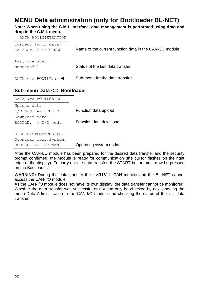# <span id="page-19-0"></span>**MENU Data administration (only for Bootloader BL-NET)**

**Note: When using the C.M.I. interface, data management is performed using drag and drop in the C.M.I. menu.**



## **Sub-menu Data <=> Bootloader**

| DATA <=> BOOTLOADER              |                         |
|----------------------------------|-------------------------|
| Upload data:                     |                         |
| $I/O$ mod. $\Rightarrow$ BOOTLD. | Function data upload    |
| Download data:                   |                         |
| BOOTLD. $\Rightarrow$ I/O mod.   | Function data download  |
|                                  |                         |
| OPER.SYSTEM<=BOOTLD.:            |                         |
| Download oper.System:            |                         |
| BOOTLD. $\Rightarrow$ I/O mod.   | Operating system update |

After the CAN-I/O module has been prepared for the desired data transfer and the security prompt confirmed, the module is ready for communication (the cursor flashes on the right edge of the display). To carry out the data transfer, the START button must now be pressed on the Bootloader.

**WARNING:** During the data transfer the UVR1611, CAN monitor and the BL-NET cannot access the CAN-I/O module.

As the CAN-I/O module does not have its own display, the data transfer cannot be monitored. Whether the data transfer was successful or not can only be checked by next opening the menu Data Administration in the CAN-I/O module and checking the status of the last data transfer.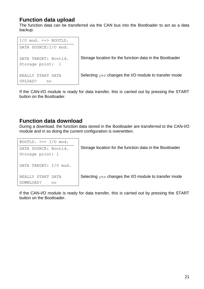## **Function data upload**

The function data can be transferred via the CAN bus into the Bootloader to act as a data backup.

```
I/O mod. \leq BOOTLD.
DATA SOURCE:I/O mod.
DATA TARGET: Bootld.
Storage point: 1
REALLY START DATA
UPLOAD? no
                            Storage location for the function data in the Bootloader
                            Selecting yes changes the I/O module to transfer mode
```
If the CAN-I/O module is ready for data transfer, this is carried out by pressing the START button on the Bootloader.

## **Function data download**

During a download, the function data stored in the Bootloader are transferred to the CAN-I/O module and in so doing the current configuration is overwritten.

| BOOTLD. $\leq$ > I/O mod. |                                                          |
|---------------------------|----------------------------------------------------------|
| DATA SOURCE: Bootld.      | Storage location for the function data in the Bootloader |
| Storage point: 1          |                                                          |
| DATA TARGET: I/O mod.     |                                                          |
| REALLY START DATA         | Selecting yes changes the I/O module to transfer mode    |
| DOWNLOAD?<br>no           |                                                          |

If the CAN-I/O module is ready for data transfer, this is carried out by pressing the START button on the Bootloader.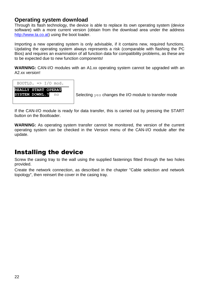## **Operating system download**

Through its flash technology, the device is able to replace its own operating system (device software) with a more current version (obtain from the download area under the address [http://www.ta.co.at\)](http://www.ta.co.at/) using the boot loader.

Importing a new operating system is only advisable, if it contains new, required functions. Updating the operating system always represents a risk (comparable with flashing the PC Bios) and requires an examination of all function data for compatibility problems, as these are to be expected due to new function components!

**WARNING:** CAN-I/O modules with an A1.xx operating system cannot be upgraded with an A2.xx version!

BOOTLD.  $\Rightarrow$  I/O mod. **REALLY START OPERAT**

**SYSTEM DOWNL. P** no  $\bigcup$  Selecting  $y \in S$  changes the I/O module to transfer mode

If the CAN-I/O module is ready for data transfer, this is carried out by pressing the START button on the Bootloader.

**WARNING:** As operating system transfer cannot be monitored, the version of the current operating system can be checked in the Version menu of the CAN-I/O module after the update.

# <span id="page-21-0"></span>Installing the device

Screw the casing tray to the wall using the supplied fastenings fitted through the two holes provided.

Create the network connection, as described in the chapter "Cable selection and network topology", then reinsert the cover in the casing tray.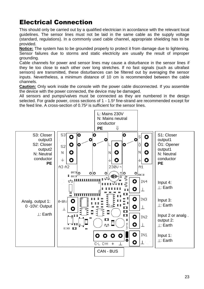# <span id="page-22-0"></span>Electrical Connection

This should only be carried out by a qualified electrician in accordance with the relevant local guidelines. The sensor lines must not be laid in the same cable as the supply voltage (standard, regulations). In a commonly used cable channel, appropriate shielding has to be provided.

**Notice:** The system has to be grounded properly to protect it from damage due to lightening. Sensor failures due to storms and static electricity are usually the result of improper grounding.

Cable channels for power and sensor lines may cause a disturbance in the sensor lines if they lie too close to each other over long stretches. If no fast signals (such as ultrafast sensors) are transmitted, these disturbances can be filtered out by averaging the sensor inputs. Nevertheless, a minimum distance of 10 cm is recommended between the cable channels.

**Caution:** Only work inside the console with the power cable disconnected. If you assemble the device with the power connected, the device may be damaged.

All sensors and pumps/valves must be connected as they are numbered in the design selected. For grade power, cross sections of 1 - 1.5² fine-strand are recommended except for the feed line. A cross-section of 0.75² is sufficient for the sensor lines.

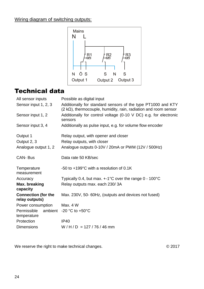## Wiring diagram of switching outputs:



# <span id="page-23-0"></span>Technical data

| All sensor inputs                            | Possible as digital input                                                                                                               |
|----------------------------------------------|-----------------------------------------------------------------------------------------------------------------------------------------|
| Sensor input 1, 2, 3                         | Additionally for standard sensors of the type PT1000 and KTY<br>$(2 k\Omega)$ , thermocouple, humidity, rain, radiation and room sensor |
| Sensor input 1, 2                            | Additionally for control voltage (0-10 V DC) e.g. for electronic<br>sensors                                                             |
| Sensor input 3, 4                            | Additionally as pulse input, e.g. for volume flow encoder                                                                               |
| Output 1                                     | Relay output, with opener and closer                                                                                                    |
| Output 2, 3                                  | Relay outputs, with closer                                                                                                              |
| Analogue output 1, 2                         | Analogue outputs 0-10V / 20mA or PWM (12V / 500Hz)                                                                                      |
| <b>CAN-Bus</b>                               | Data rate 50 KB/sec                                                                                                                     |
| Temperature<br>measurement                   | -50 to +199°C with a resolution of 0.1K                                                                                                 |
| Accuracy                                     | Typically 0.4, but max. $+$ -1 $^{\circ}$ C over the range 0 - 100 $^{\circ}$ C                                                         |
| Max. breaking<br>capacity                    | Relay outputs max. each 230/3A                                                                                                          |
| <b>Connection (for the</b><br>relay outputs) | Max. 230V, 50- 60Hz, (outputs and devices not fused)                                                                                    |
| Power consumption                            | Max. $4 W$                                                                                                                              |
| Permissible<br>ambient<br>temperature        | -20 $^{\circ}$ C to +50 $^{\circ}$ C                                                                                                    |
| Protection                                   | IP40                                                                                                                                    |
| <b>Dimensions</b>                            | $W/H/D = 127/76/46$ mm                                                                                                                  |
|                                              |                                                                                                                                         |

We reserve the right to make technical changes. © 2017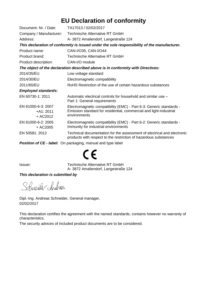# **EU Declaration of conformity**

| Document- Nr. / Date:                                                           | TA17013 / 02/02/2017                                                                                                                                      |  |
|---------------------------------------------------------------------------------|-----------------------------------------------------------------------------------------------------------------------------------------------------------|--|
| Company / Manufacturer:                                                         | Technische Alternative RT GmbH                                                                                                                            |  |
| Address:                                                                        | A-3872 Amaliendorf, Langestraße 124                                                                                                                       |  |
|                                                                                 | This declaration of conformity is issued under the sole responsibility of the manufacturer.                                                               |  |
| Product name:                                                                   | CAN-I/O35, CAN-I/O44                                                                                                                                      |  |
| Product brand:                                                                  | Technische Alternative RT GmbH                                                                                                                            |  |
| Product description:                                                            | CAN-I/O module                                                                                                                                            |  |
| The object of the declaration described above is in conformity with Directives: |                                                                                                                                                           |  |
| 2014/35/EU                                                                      | Low voltage standard                                                                                                                                      |  |
| 2014/30/EU                                                                      | Electromagnetic compatibility                                                                                                                             |  |
| 2011/65/EU                                                                      | RoHS Restriction of the use of certain hazardous substances                                                                                               |  |
| <b>Employed standards:</b>                                                      |                                                                                                                                                           |  |
| EN 60730-1: 2011                                                                | Automatic electrical controls for household and similar use -<br>Part 1: General requirements                                                             |  |
| EN 61000-6-3: 2007<br>$+A1:2011$<br>+ AC2012                                    | Electromagnetic compatibility (EMC) - Part 6-3: Generic standards -<br>Emission standard for residential, commercial and light-industrial<br>environments |  |
| EN 61000-6-2: 2005<br>$+$ AC2005                                                | Electromagnetic compatibility (EMC) - Part 6-2: Generic standards -<br>Immunity for industrial environments                                               |  |
| EN 50581: 2012                                                                  | Technical documentation for the assessment of electrical and electronic<br>products with respect to the restriction of hazardous substances               |  |
|                                                                                 | Position of CE - label: On packaging, manual and type label                                                                                               |  |

# $\epsilon$

Issuer: Technische Alternative RT GmbH A- 3872 Amaliendorf, Langestraße 124

#### *This declaration is submitted by*

Schneider Andracs

Dipl.-Ing. Andreas Schneider, General manager, 02/02/2017

This declaration certifies the agreement with the named standards, contains however no warranty of characteristics.

The security advices of included product documents are to be considered.